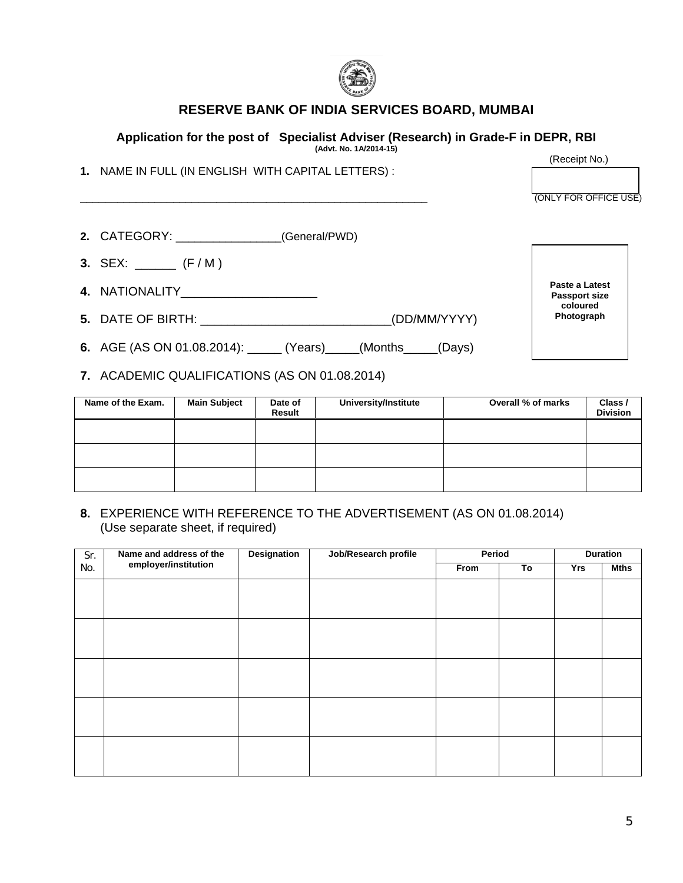

## **RESERVE BANK OF INDIA SERVICES BOARD, MUMBAI**

## **Application for the post of Specialist Adviser (Research) in Grade-F in DEPR, RBI**

**(Advt. No. 1A/2014-15)** 

**1.** NAME IN FULL (IN ENGLISH WITH CAPITAL LETTERS) :

(Receipt No.)

\_\_\_\_\_\_\_\_\_\_\_\_\_\_\_\_\_\_\_\_\_\_\_\_\_\_\_\_\_\_\_\_\_\_\_\_\_\_\_\_\_\_\_\_\_\_\_\_\_\_\_\_\_\_\_\_ (ONLY FOR OFFICE USE)

**Paste a Latest Passport size coloured Photograph** 

| 2. CATEGORY: | (General/PWD) |  |
|--------------|---------------|--|
|              |               |  |

- **3.** SEX: \_\_\_\_\_\_ (F / M )
- **4.** NATIONALITY\_\_\_\_\_\_\_\_\_\_\_\_\_\_\_\_\_\_\_\_
- **5.** DATE OF BIRTH:  $(DD/MM/YYYY)$
- **6.** AGE (AS ON 01.08.2014): \_\_\_\_\_ (Years)\_\_\_\_\_(Months\_\_\_\_\_(Days)
- **7.** ACADEMIC QUALIFICATIONS (AS ON 01.08.2014)

| Name of the Exam. | <b>Main Subject</b> | Date of<br>Result | University/Institute | Overall % of marks | Class /<br><b>Division</b> |
|-------------------|---------------------|-------------------|----------------------|--------------------|----------------------------|
|                   |                     |                   |                      |                    |                            |
|                   |                     |                   |                      |                    |                            |
|                   |                     |                   |                      |                    |                            |

**8.** EXPERIENCE WITH REFERENCE TO THE ADVERTISEMENT (AS ON 01.08.2014) (Use separate sheet, if required)

| Sr. | Name and address of the | <b>Designation</b> | Job/Research profile | Period |    | <b>Duration</b> |             |
|-----|-------------------------|--------------------|----------------------|--------|----|-----------------|-------------|
| No. | employer/institution    |                    |                      | From   | To | Yrs             | <b>Mths</b> |
|     |                         |                    |                      |        |    |                 |             |
|     |                         |                    |                      |        |    |                 |             |
|     |                         |                    |                      |        |    |                 |             |
|     |                         |                    |                      |        |    |                 |             |
|     |                         |                    |                      |        |    |                 |             |
|     |                         |                    |                      |        |    |                 |             |
|     |                         |                    |                      |        |    |                 |             |
|     |                         |                    |                      |        |    |                 |             |
|     |                         |                    |                      |        |    |                 |             |
|     |                         |                    |                      |        |    |                 |             |
|     |                         |                    |                      |        |    |                 |             |
|     |                         |                    |                      |        |    |                 |             |
|     |                         |                    |                      |        |    |                 |             |
|     |                         |                    |                      |        |    |                 |             |